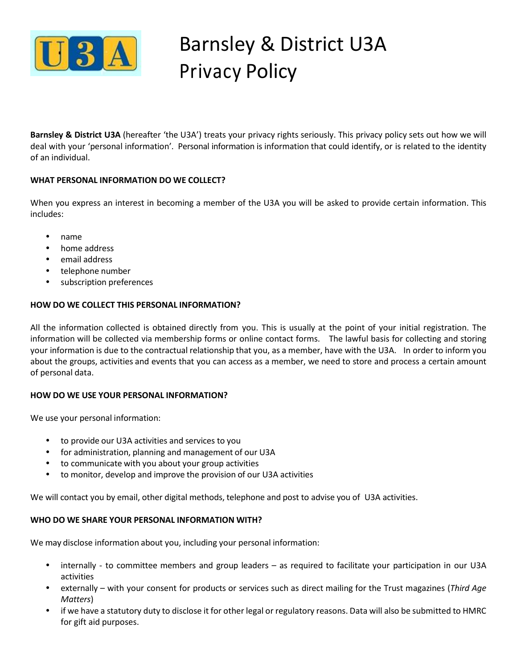

# Barnsley & District U3A Privacy Policy

**Barnsley & District U3A** (hereafter 'the U3A') treats your privacy rights seriously. This privacy policy sets out how we will deal with your 'personal information'. Personal information is information that could identify, or is related to the identity of an individual.

# **WHAT PERSONAL INFORMATION DO WE COLLECT?**

When you express an interest in becoming a member of the U3A you will be asked to provide certain information. This includes:

- name
- home address
- email address
- telephone number
- subscription preferences

# **HOW DO WE COLLECT THIS PERSONAL INFORMATION?**

All the information collected is obtained directly from you. This is usually at the point of your initial registration. The information will be collected via membership forms or online contact forms. The lawful basis for collecting and storing your information is due to the contractual relationship that you, as a member, have with the U3A. In order to inform you about the groups, activities and events that you can access as a member, we need to store and process a certain amount of personal data.

# **HOW DO WE USE YOUR PERSONAL INFORMATION?**

We use your personal information:

- to provide our U3A activities and services to you
- for administration, planning and management of our U3A
- to communicate with you about your group activities
- to monitor, develop and improve the provision of our U3A activities

We will contact you by email, other digital methods, telephone and post to advise you of U3A activities.

# **WHO DO WE SHARE YOUR PERSONAL INFORMATION WITH?**

We may disclose information about you, including your personal information:

- internally to committee members and group leaders as required to facilitate your participation in our U3A activities
- externally with your consent for products or services such as direct mailing for the Trust magazines (*Third Age Matters*)
- if we have a statutory duty to disclose it for other legal or regulatory reasons. Data will also be submitted to HMRC for gift aid purposes.